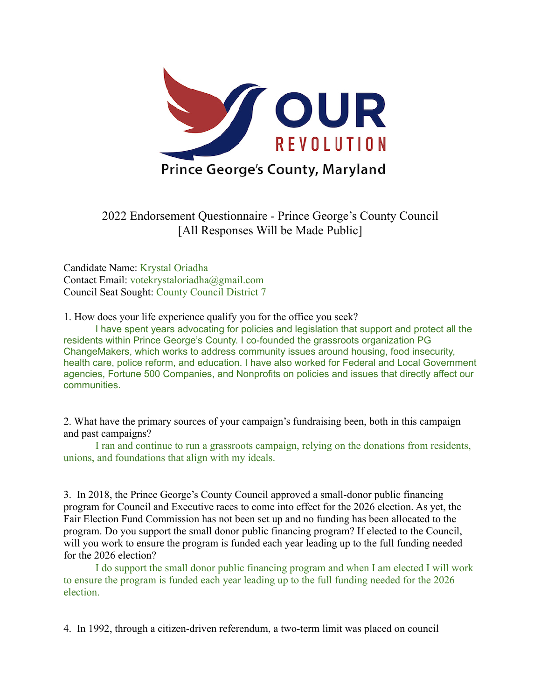

2022 Endorsement Questionnaire - Prince George's County Council [All Responses Will be Made Public]

Candidate Name: Krystal Oriadha Contact Email: votekrystaloriadha@gmail.com Council Seat Sought: County Council District 7

1. How does your life experience qualify you for the office you seek?

I have spent years advocating for policies and legislation that support and protect all the residents within Prince George's County. I co-founded the grassroots organization PG ChangeMakers, which works to address community issues around housing, food insecurity, health care, police reform, and education. I have also worked for Federal and Local Government agencies, Fortune 500 Companies, and Nonprofits on policies and issues that directly affect our communities.

2. What have the primary sources of your campaign's fundraising been, both in this campaign and past campaigns?

I ran and continue to run a grassroots campaign, relying on the donations from residents, unions, and foundations that align with my ideals.

3. In 2018, the Prince George's County Council approved a small-donor public financing program for Council and Executive races to come into effect for the 2026 election. As yet, the Fair Election Fund Commission has not been set up and no funding has been allocated to the program. Do you support the small donor public financing program? If elected to the Council, will you work to ensure the program is funded each year leading up to the full funding needed for the 2026 election?

I do support the small donor public financing program and when I am elected I will work to ensure the program is funded each year leading up to the full funding needed for the 2026 election.

4. In 1992, through a citizen-driven referendum, a two-term limit was placed on council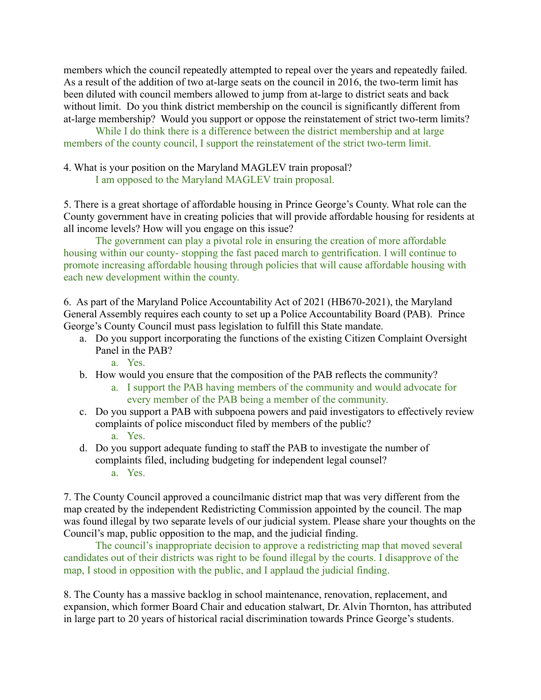members which the council repeatedly attempted to repeal over the years and repeatedly failed. As a result of the addition of two at-large seats on the council in 2016, the two-term limit has been diluted with council members allowed to jump from at-large to district seats and back without limit. Do you think district membership on the council is significantly different from at-large membership? Would you support or oppose the reinstatement of strict two-term limits?

While I do think there is a difference between the district membership and at large members of the county council, I support the reinstatement of the strict two-term limit.

4. What is your position on the Maryland MAGLEV train proposal? I am opposed to the Maryland MAGLEV train proposal.

5. There is a great shortage of affordable housing in Prince George's County. What role can the County government have in creating policies that will provide affordable housing for residents at all income levels? How will you engage on this issue?

The government can play a pivotal role in ensuring the creation of more affordable housing within our county- stopping the fast paced march to gentrification. I will continue to promote increasing affordable housing through policies that will cause affordable housing with each new development within the county.

6. As part of the Maryland Police Accountability Act of 2021 (HB670-2021), the Maryland General Assembly requires each county to set up a Police Accountability Board (PAB). Prince George's County Council must pass legislation to fulfill this State mandate.

a. Do you support incorporating the functions of the existing Citizen Complaint Oversight Panel in the PAB?

a. Yes.

- b. How would you ensure that the composition of the PAB reflects the community?
	- a. I support the PAB having members of the community and would advocate for every member of the PAB being a member of the community.
- c. Do you support a PAB with subpoena powers and paid investigators to effectively review complaints of police misconduct filed by members of the public? a. Yes.
- d. Do you support adequate funding to staff the PAB to investigate the number of complaints filed, including budgeting for independent legal counsel? a. Yes.

7. The County Council approved a councilmanic district map that was very different from the map created by the independent Redistricting Commission appointed by the council. The map was found illegal by two separate levels of our judicial system. Please share your thoughts on the Council's map, public opposition to the map, and the judicial finding.

The council's inappropriate decision to approve a redistricting map that moved several candidates out of their districts was right to be found illegal by the courts. I disapprove of the map, I stood in opposition with the public, and I applaud the judicial finding.

8. The County has a massive backlog in school maintenance, renovation, replacement, and expansion, which former Board Chair and education stalwart, Dr. Alvin Thornton, has attributed in large part to 20 years of historical racial discrimination towards Prince George's students.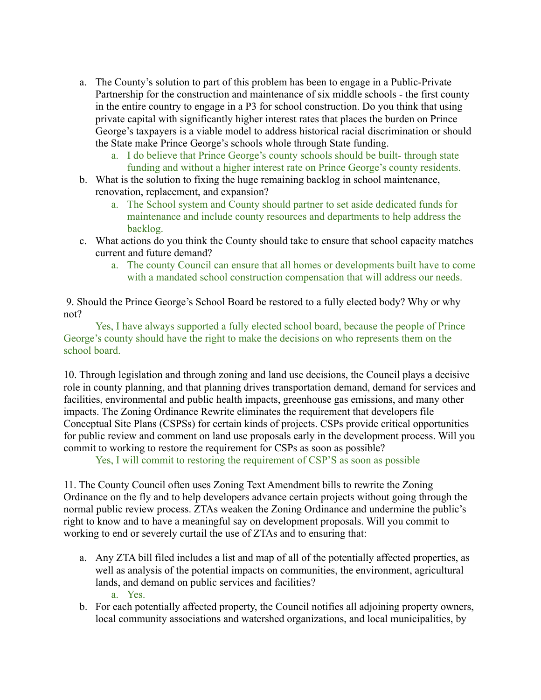- a. The County's solution to part of this problem has been to engage in a Public-Private Partnership for the construction and maintenance of six middle schools - the first county in the entire country to engage in a P3 for school construction. Do you think that using private capital with significantly higher interest rates that places the burden on Prince George's taxpayers is a viable model to address historical racial discrimination or should the State make Prince George's schools whole through State funding.
	- a. I do believe that Prince George's county schools should be built- through state funding and without a higher interest rate on Prince George's county residents.
- b. What is the solution to fixing the huge remaining backlog in school maintenance, renovation, replacement, and expansion?
	- a. The School system and County should partner to set aside dedicated funds for maintenance and include county resources and departments to help address the backlog.
- c. What actions do you think the County should take to ensure that school capacity matches current and future demand?
	- a. The county Council can ensure that all homes or developments built have to come with a mandated school construction compensation that will address our needs.

9. Should the Prince George's School Board be restored to a fully elected body? Why or why not?

Yes, I have always supported a fully elected school board, because the people of Prince George's county should have the right to make the decisions on who represents them on the school board.

10. Through legislation and through zoning and land use decisions, the Council plays a decisive role in county planning, and that planning drives transportation demand, demand for services and facilities, environmental and public health impacts, greenhouse gas emissions, and many other impacts. The Zoning Ordinance Rewrite eliminates the requirement that developers file Conceptual Site Plans (CSPSs) for certain kinds of projects. CSPs provide critical opportunities for public review and comment on land use proposals early in the development process. Will you commit to working to restore the requirement for CSPs as soon as possible?

Yes, I will commit to restoring the requirement of CSP'S as soon as possible

11. The County Council often uses Zoning Text Amendment bills to rewrite the Zoning Ordinance on the fly and to help developers advance certain projects without going through the normal public review process. ZTAs weaken the Zoning Ordinance and undermine the public's right to know and to have a meaningful say on development proposals. Will you commit to working to end or severely curtail the use of ZTAs and to ensuring that:

- a. Any ZTA bill filed includes a list and map of all of the potentially affected properties, as well as analysis of the potential impacts on communities, the environment, agricultural lands, and demand on public services and facilities? a. Yes.
- b. For each potentially affected property, the Council notifies all adjoining property owners, local community associations and watershed organizations, and local municipalities, by